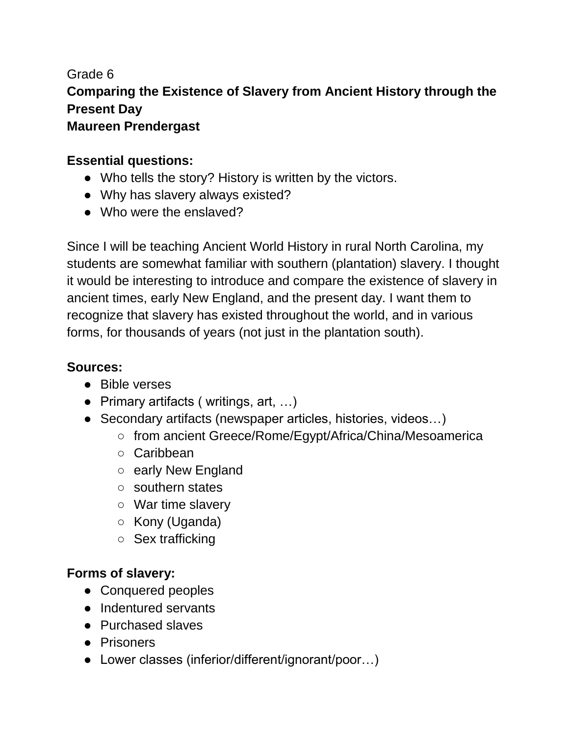## Grade 6 **Comparing the Existence of Slavery from Ancient History through the Present Day Maureen Prendergast**

## **Essential questions:**

- Who tells the story? History is written by the victors.
- Why has slavery always existed?
- Who were the enslaved?

Since I will be teaching Ancient World History in rural North Carolina, my students are somewhat familiar with southern (plantation) slavery. I thought it would be interesting to introduce and compare the existence of slavery in ancient times, early New England, and the present day. I want them to recognize that slavery has existed throughout the world, and in various forms, for thousands of years (not just in the plantation south).

## **Sources:**

- Bible verses
- Primary artifacts (writings, art, ...)
- Secondary artifacts (newspaper articles, histories, videos...)
	- from ancient Greece/Rome/Egypt/Africa/China/Mesoamerica
	- Caribbean
	- early New England
	- southern states
	- War time slavery
	- Kony (Uganda)
	- Sex trafficking

## **Forms of slavery:**

- Conquered peoples
- Indentured servants
- Purchased slaves
- Prisoners
- Lower classes (inferior/different/ignorant/poor…)